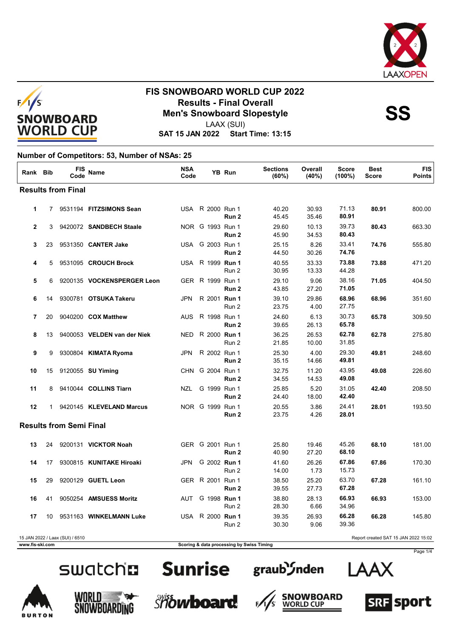



LAAX (SUI)

**SAT 15 JAN 2022 Start Time: 13:15**

### **Number of Competitors: 53, Number of NSAs: 25**

| Rank Bib     |    | FIS<br>Code                     | Name                        | <b>NSA</b><br>Code |                         | YB Run           | <b>Sections</b><br>(60%) | Overall<br>(40%) | <b>Score</b><br>$(100\%)$ | <b>Best</b><br><b>Score</b>          | <b>FIS</b><br><b>Points</b> |
|--------------|----|---------------------------------|-----------------------------|--------------------|-------------------------|------------------|--------------------------|------------------|---------------------------|--------------------------------------|-----------------------------|
|              |    | <b>Results from Final</b>       |                             |                    |                         |                  |                          |                  |                           |                                      |                             |
| $\mathbf{1}$ |    |                                 | 7 9531194 FITZSIMONS Sean   |                    | USA R 2000 Run 1        | Run 2            | 40.20<br>45.45           | 30.93<br>35.46   | 71.13<br>80.91            | 80.91                                | 800.00                      |
| $\mathbf{2}$ | 3  |                                 | 9420072 SANDBECH Staale     |                    | NOR G 1993 Run 1        | Run 2            | 29.60<br>45.90           | 10.13<br>34.53   | 39.73<br>80.43            | 80.43                                | 663.30                      |
| 3            | 23 |                                 | 9531350 CANTER Jake         |                    | USA G 2003 Run 1        | Run 2            | 25.15<br>44.50           | 8.26<br>30.26    | 33.41<br>74.76            | 74.76                                | 555.80                      |
| 4            | 5  |                                 | 9531095 CROUCH Brock        |                    | USA R 1999 Run 1        | Run 2            | 40.55<br>30.95           | 33.33<br>13.33   | 73.88<br>44.28            | 73.88                                | 471.20                      |
| 5            | 6  |                                 | 9200135 VOCKENSPERGER Leon  |                    | GER R 1999 Run 1        | Run 2            | 29.10<br>43.85           | 9.06<br>27.20    | 38.16<br>71.05            | 71.05                                | 404.50                      |
| 6            | 14 |                                 | 9300781 OTSUKA Takeru       | <b>JPN</b>         | R 2001 Run 1            | Run 2            | 39.10<br>23.75           | 29.86<br>4.00    | 68.96<br>27.75            | 68.96                                | 351.60                      |
| 7            | 20 |                                 | 9040200 COX Matthew         | <b>AUS</b>         | R 1998 Run 1            | Run <sub>2</sub> | 24.60<br>39.65           | 6.13<br>26.13    | 30.73<br>65.78            | 65.78                                | 309.50                      |
| 8            | 13 |                                 | 9400053 VELDEN van der Niek | <b>NED</b>         | R 2000 Run 1            | Run 2            | 36.25<br>21.85           | 26.53<br>10.00   | 62.78<br>31.85            | 62.78                                | 275.80                      |
| 9            | 9  |                                 | 9300804 KIMATA Ryoma        | <b>JPN</b>         | R 2002 Run 1            | Run <sub>2</sub> | 25.30<br>35.15           | 4.00<br>14.66    | 29.30<br>49.81            | 49.81                                | 248.60                      |
| 10           | 15 |                                 | 9120055 <b>SU Yiming</b>    |                    | CHN G 2004 Run 1        | Run <sub>2</sub> | 32.75<br>34.55           | 11.20<br>14.53   | 43.95<br>49.08            | 49.08                                | 226.60                      |
| 11           | 8  |                                 | 9410044 COLLINS Tiarn       | NZL                | G 1999 Run 1            | Run 2            | 25.85<br>24.40           | 5.20<br>18.00    | 31.05<br>42.40            | 42.40                                | 208.50                      |
| 12           |    |                                 | 1 9420145 KLEVELAND Marcus  |                    | NOR G 1999 Run 1        | Run 2            | 20.55<br>23.75           | 3.86<br>4.26     | 24.41<br>28.01            | 28.01                                | 193.50                      |
|              |    | <b>Results from Semi Final</b>  |                             |                    |                         |                  |                          |                  |                           |                                      |                             |
| 13           | 24 |                                 | 9200131 VICKTOR Noah        |                    | GER G 2001 Run 1        | Run 2            | 25.80<br>40.90           | 19.46<br>27.20   | 45.26<br>68.10            | 68.10                                | 181.00                      |
| 14           | 17 |                                 | 9300815 KUNITAKE Hiroaki    | JPN                | G 2002 Run 1            | Run 2            | 41.60<br>14.00           | 26.26<br>1.73    | 67.86<br>15.73            | 67.86                                | 170.30                      |
| 15           | 29 |                                 | 9200129 GUETL Leon          |                    | GER R 2001 Run 1        | Run 2            | 38.50<br>39.55           | 25.20<br>27.73   | 63.70<br>67.28            | 67.28                                | 161.10                      |
| 16           | 41 |                                 | 9050254 AMSUESS Moritz      |                    | AUT G 1998 <b>Run 1</b> | Run 2            | 38.80<br>28.30           | 28.13<br>6.66    | 66.93<br>34.96            | 66.93                                | 153.00                      |
| 17           | 10 |                                 | 9531163 WINKELMANN Luke     |                    | USA R 2000 Run 1        | Run 2            | 39.35<br>30.30           | 26.93<br>9.06    | 66.28<br>39.36            | 66.28                                | 145.80                      |
|              |    | 15 JAN 2022 / Laax (SUI) / 6510 |                             |                    |                         |                  |                          |                  |                           | Report created SAT 15 JAN 2022 15:02 |                             |

**www.fis-ski.com Scoring & data processing by Swiss Timing** 

# swatch**n** Sunrise

















Page 1/4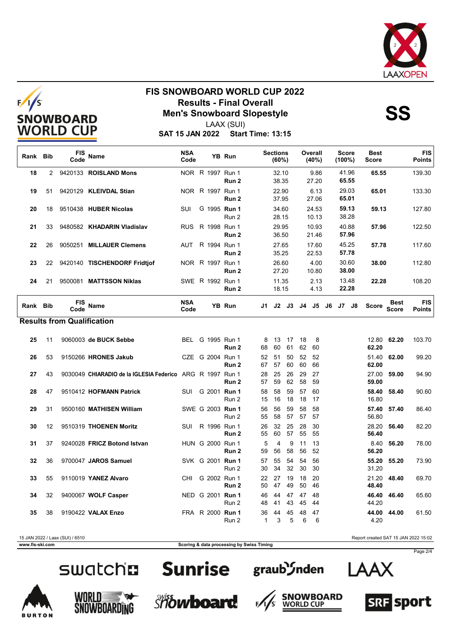



LAAX (SUI)

**SAT 15 JAN 2022 Start Time: 13:15**

| Rank Bib |    | <b>FIS</b><br>Code                | <b>Name</b>                                               | <b>NSA</b><br>Code | YB Run                               |                    | <b>Sections</b><br>(60%) |          |          | Overall<br>(40%) |    | <b>Score</b><br>$(100\%)$ |                | <b>Best</b><br><b>Score</b> |                             | <b>FIS</b><br><b>Points</b> |
|----------|----|-----------------------------------|-----------------------------------------------------------|--------------------|--------------------------------------|--------------------|--------------------------|----------|----------|------------------|----|---------------------------|----------------|-----------------------------|-----------------------------|-----------------------------|
| 18       | 2  |                                   | 9420133 ROISLAND Mons                                     |                    | NOR R 1997 Run 1<br>Run 2            |                    | 32.10<br>38.35           |          |          | 9.86<br>27.20    |    |                           | 41.96<br>65.55 | 65.55                       |                             | 139.30                      |
| 19       | 51 |                                   | 9420129 KLEIVDAL Stian                                    |                    | NOR R 1997 Run 1<br>Run 2            |                    | 22.90<br>37.95           |          |          | 6.13<br>27.06    |    |                           | 29.03<br>65.01 | 65.01                       |                             | 133.30                      |
| 20       | 18 |                                   | 9510438 HUBER Nicolas                                     | SUI                | G 1995 Run 1<br>Run 2                |                    | 34.60<br>28.15           |          |          | 24.53<br>10.13   |    |                           | 59.13<br>38.28 | 59.13                       |                             | 127.80                      |
| 21       | 33 |                                   | 9480582 KHADARIN Vladislav                                | <b>RUS</b>         | R 1998 Run 1<br>Run <sub>2</sub>     |                    | 29.95<br>36.50           |          |          | 10.93<br>21.46   |    |                           | 40.88<br>57.96 | 57.96                       |                             | 122.50                      |
| 22       | 26 | 9050251                           | <b>MILLAUER Clemens</b>                                   | AUT                | R 1994 Run 1<br>Run 2                |                    | 27.65<br>35.25           |          |          | 17.60<br>22.53   |    |                           | 45.25<br>57.78 | 57.78                       |                             | 117.60                      |
| 23       | 22 |                                   | 9420140 TISCHENDORF Fridtjof                              |                    | NOR R 1997 Run 1<br>Run 2            |                    | 26.60<br>27.20           |          |          | 4.00<br>10.80    |    |                           | 30.60<br>38.00 | 38.00                       |                             | 112.80                      |
| 24       | 21 |                                   | 9500081 MATTSSON Niklas                                   |                    | SWE R 1992 Run 1<br>Run 2            |                    | 11.35<br>18.15           |          |          | 2.13<br>4.13     |    |                           | 13.48<br>22.28 | 22.28                       |                             | 108.20                      |
| Rank Bib |    | FIS<br>Code                       | <b>Name</b>                                               | <b>NSA</b><br>Code | YB Run                               | J1                 | J2                       | J3       | J4       | J5               | J6 |                           | J7 J8          | <b>Score</b>                | <b>Best</b><br><b>Score</b> | <b>FIS</b><br><b>Points</b> |
|          |    | <b>Results from Qualification</b> |                                                           |                    |                                      |                    |                          |          |          |                  |    |                           |                |                             |                             |                             |
| 25       | 11 |                                   | 9060003 de BUCK Sebbe                                     | BEL                | G 1995 Run 1<br>Run 2                | 8<br>68            | 13<br>60                 | 17<br>61 | 18<br>62 | 8<br>60          |    |                           |                | 62.20                       | 12.80 62.20                 | 103.70                      |
| 26       | 53 |                                   | 9150266 HRONES Jakub                                      |                    | CZE G 2004 Run 1<br>Run 2            | 52<br>67           | 51<br>57                 | 50<br>60 | 52<br>60 | 52<br>66         |    |                           |                | 51.40<br>62.00              | 62.00                       | 99.20                       |
| 27       | 43 |                                   | 9030049 CHIARADIO de la IGLESIA Federico ARG R 1997 Run 1 |                    | Run 2                                | 28<br>57           | 25<br>59                 | 26<br>62 | 29<br>58 | 27<br>59         |    |                           |                | 27.00<br>59.00              | 59.00                       | 94.90                       |
| 28       | 47 |                                   | 9510412 HOFMANN Patrick                                   | SUI                | G 2001 Run 1<br>Run 2                | 58<br>15           | 58<br>16                 | 59<br>18 | 57<br>18 | 60<br>17         |    |                           |                | 58.40<br>16.80              | 58.40                       | 90.60                       |
| 29       | 31 |                                   | 9500160 MATHISEN William                                  |                    | SWE G 2003 Run 1<br>Run 2            | 56<br>55           | 56<br>58                 | 59<br>57 | 58<br>57 | 58<br>57         |    |                           |                | 57.40<br>56.80              | 57.40                       | 86.40                       |
| 30       | 12 |                                   | 9510319 THOENEN Moritz                                    | SUI                | R 1996 Run 1<br>Run 2                | 26<br>55           | 32<br>60                 | 25<br>57 | 28<br>55 | 30<br>55         |    |                           |                | 28.20<br>56.40              | 56.40                       | 82.20                       |
| 31       | 37 |                                   | 9240028 FRICZ Botond Istvan                               |                    | HUN G 2000 Run 1<br>Run <sub>2</sub> | 5<br>59            | $\overline{4}$<br>56     | 9<br>58  | 11<br>56 | 13<br>52         |    |                           |                | 8.40<br>56.20               | 56.20                       | 78.00                       |
| 32       | 36 |                                   | 9700047 JAROS Samuel                                      |                    | SVK G 2001 Run 1<br>Run 2            | 57<br>30           | 55<br>34                 | 54<br>32 | 54<br>30 | 56<br>30         |    |                           |                | 55.20<br>31.20              | 55.20                       | 73.90                       |
| 33       | 55 |                                   | 9110019 YANEZ Alvaro                                      | CHI.               | G 2002 Run 1<br>Run <sub>2</sub>     | 22<br>50           | 27<br>47                 | 19<br>49 | 18<br>50 | 20<br>46         |    |                           |                | 21.20<br>48.40              | 48.40                       | 69.70                       |
| 34       | 32 |                                   | 9400067 WOLF Casper                                       |                    | NED G 2001 Run 1<br>Run 2            | 46<br>48           | 44<br>41                 | 47<br>43 | 47<br>45 | 48<br>44         |    |                           |                | 46.40<br>44.20              | 46.40                       | 65.60                       |
| 35       | 38 |                                   | 9190422 VALAX Enzo                                        |                    | FRA R 2000 Run 1<br>Run 2            | 36<br>$\mathbf{1}$ | 44<br>3                  | 45<br>5  | 48<br>6  | 47<br>6          |    |                           |                | 44.00<br>4.20               | 44.00                       | 61.50                       |

15 JAN 2022 / Laax (SUI) / 6510 Report created SAT 15 JAN 2022 15:02

**www.fis-ski.com Scoring & data processing by Swiss Timing**

















Page 2/4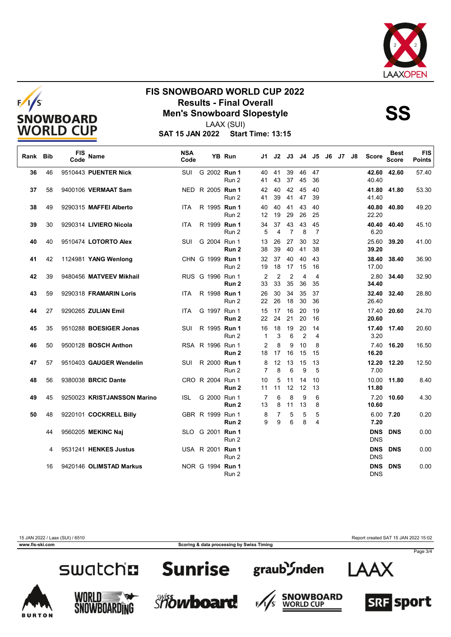



LAAX (SUI)

**SAT 15 JAN 2022 Start Time: 13:15**

| Rank | <b>Bib</b> | <b>FIS</b><br>Code | <b>Name</b>                 | <b>NSA</b><br>Code |                  | YB Run           | J1.                  | J2                   | J3                   |                      | J4 J5                | J6 | J7 J8 | Score                    | Best<br><b>Score</b> | <b>FIS</b><br><b>Points</b> |
|------|------------|--------------------|-----------------------------|--------------------|------------------|------------------|----------------------|----------------------|----------------------|----------------------|----------------------|----|-------|--------------------------|----------------------|-----------------------------|
| 36   | 46         |                    | 9510443 PUENTER Nick        | SUI                | G 2002 Run 1     | Run 2            | 40<br>41             | 41<br>43             | 39<br>37             | 46<br>45             | 47<br>36             |    |       | 40.40                    | 42.60 42.60          | 57.40                       |
| 37   | 58         |                    | 9400106 VERMAAT Sam         |                    | NED R 2005 Run 1 | Run 2            | 42<br>41             | 40<br>39             | 42<br>41             | 45<br>47             | 40<br>39             |    |       | 41.40                    | 41.80 41.80          | 53.30                       |
| 38   | 49         |                    | 9290315 MAFFEI Alberto      | <b>ITA</b>         | R 1995 Run 1     | Run 2            | 40<br>12             | 40<br>19             | 41<br>29             | 43<br>26             | 40<br>25             |    |       | 22.20                    | 40.80 40.80          | 49.20                       |
| 39   | 30         |                    | 9290314 LIVIERO Nicola      | <b>ITA</b>         | R 1999 Run 1     | Run 2            | 34<br>5              | 37<br>4              | 43<br>$\overline{7}$ | 43<br>8              | 45<br>$\overline{7}$ |    |       | 40.40<br>6.20            | 40.40                | 45.10                       |
| 40   | 40         |                    | 9510474 LOTORTO Alex        | SUI                | G 2004 Run 1     | Run 2            | 13<br>38             | 26<br>39             | 27<br>40             | 30<br>41             | 32<br>38             |    |       | 25.60<br>39.20           | 39.20                | 41.00                       |
| 41   | 42         |                    | 1124981 YANG Wenlong        |                    | CHN G 1999 Run 1 | Run 2            | 32<br>19             | 37<br>18             | 40<br>17             | 40<br>15             | 43<br>16             |    |       | 38.40<br>17.00           | 38.40                | 36.90                       |
| 42   | 39         |                    | 9480456 MATVEEV Mikhail     |                    | RUS G 1996 Run 1 | Run <sub>2</sub> | $\overline{2}$<br>33 | $\overline{2}$<br>33 | $\overline{2}$<br>35 | 4<br>36              | 4<br>35              |    |       | 2.80<br>34.40            | 34.40                | 32.90                       |
| 43   | 59         |                    | 9290318 FRAMARIN Loris      | ITA.               | R 1998 Run 1     | Run 2            | 26<br>22             | 30<br>26             | 34<br>18             | 35<br>30             | 37<br>36             |    |       | 32.40<br>26.40           | 32.40                | 28.80                       |
| 44   | 27         |                    | 9290265 ZULIAN Emil         | <b>ITA</b>         | G 1997 Run 1     | Run 2            | 15<br>22             | 17<br>24             | 16<br>21             | 20<br>20             | 19<br>16             |    |       | 17.40<br>20.60           | 20.60                | 24.70                       |
| 45   | 35         |                    | 9510288 BOESIGER Jonas      | SUI                | R 1995 Run 1     | Run 2            | 16<br>$\mathbf 1$    | 18<br>3              | 19<br>6              | 20<br>$\overline{2}$ | 14<br>4              |    |       | 3.20                     | 17.40 17.40          | 20.60                       |
| 46   | 50         |                    | 9500128 BOSCH Anthon        |                    | RSA R 1996 Run 1 | Run 2            | 2<br>18              | 8<br>17              | 9<br>16              | 10<br>15             | 8<br>15              |    |       | 16.20                    | 7.40 16.20           | 16.50                       |
| 47   | 57         |                    | 9510403 GAUGER Wendelin     | SUI                | R 2000 Run 1     | Run 2            | 8<br>$\overline{7}$  | 12<br>8              | 13<br>6              | 15<br>9              | 13<br>5              |    |       | 7.00                     | 12.20 12.20          | 12.50                       |
| 48   | 56         |                    | 9380038 BRCIC Dante         |                    | CRO R 2004 Run 1 | Run 2            | 10<br>11             | 5<br>11              | 11<br>12             | 14<br>12             | 10<br>13             |    |       | 10.00<br>11.80           | 11.80                | 8.40                        |
| 49   | 45         |                    | 9250023 KRISTJANSSON Marino | <b>ISL</b>         | G 2000 Run 1     | Run 2            | $\overline{7}$<br>13 | 6<br>8               | 8<br>11              | 9<br>13              | 6<br>8               |    |       | 7.20<br>10.60            | 10.60                | 4.30                        |
| 50   | 48         |                    | 9220101 COCKRELL Billy      |                    | GBR R 1999 Run 1 | Run 2            | 8<br>9               | 7<br>9               | 5<br>6               | 5<br>8               | 5<br>4               |    |       | 7.20                     | 6.00 7.20            | 0.20                        |
|      | 44         |                    | 9560205 MEKINC Naj          |                    | SLO G 2001 Run 1 | Run 2            |                      |                      |                      |                      |                      |    |       | <b>DNS</b><br><b>DNS</b> | <b>DNS</b>           | 0.00                        |
|      | 4          |                    | 9531241 HENKES Justus       |                    | USA R 2001 Run 1 | Run 2            |                      |                      |                      |                      |                      |    |       | <b>DNS</b><br><b>DNS</b> | <b>DNS</b>           | 0.00                        |
|      | 16         |                    | 9420146 OLIMSTAD Markus     |                    | NOR G 1994 Run 1 | Run 2            |                      |                      |                      |                      |                      |    |       | <b>DNS</b><br><b>DNS</b> | <b>DNS</b>           | 0.00                        |

15 JAN 2022 / Laax (SUI) / 6510 Report created SAT 15 JAN 2022 15:02

**www.fis-ski.com Scoring & data processing by Swiss Timing**

F,

Page 3/4